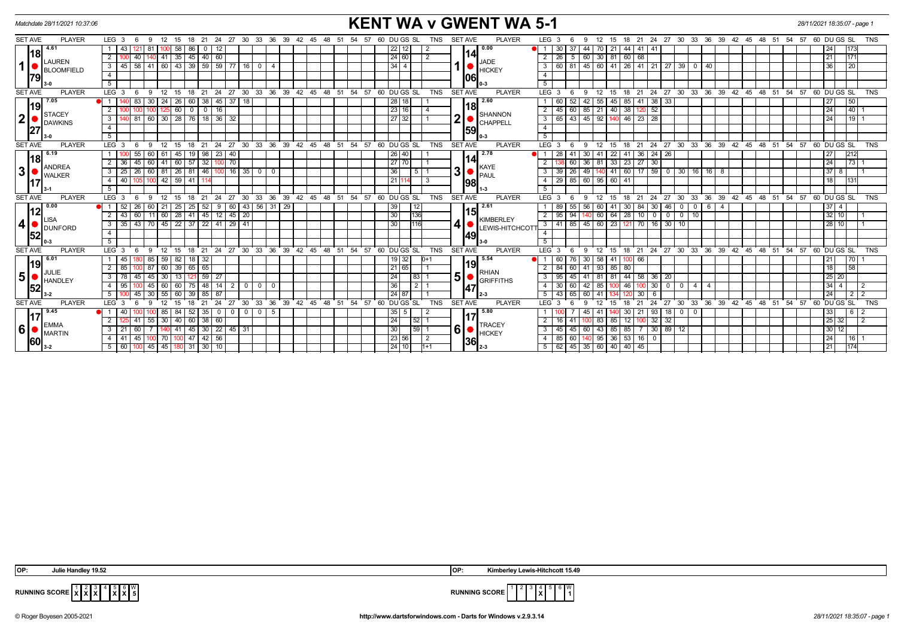| <b>KENT WA v GWENT WA 5-1</b><br>Matchdate 28/11/2021 10:37:06<br>28/11/2021 18:35:07 - page 1 |                                            |                                                                                                                             |                                                                         |                                                                                                                                                                                        |  |  |  |  |  |  |  |
|------------------------------------------------------------------------------------------------|--------------------------------------------|-----------------------------------------------------------------------------------------------------------------------------|-------------------------------------------------------------------------|----------------------------------------------------------------------------------------------------------------------------------------------------------------------------------------|--|--|--|--|--|--|--|
| <b>SET AVE</b>                                                                                 | <b>PLAYER</b>                              | LEG <sub>3</sub><br>24 27 30 33 36 39 42 45<br>12<br>15<br>18 21<br>-9                                                      | 60 DU GS SL<br><b>TNS</b><br>48<br>54 57                                | <b>PLAYER</b><br><b>SET AVE</b><br>LEG <sub>3</sub><br>18 21 24 27 30 33 36 39 42 45 48 51 54 57 60 DU GS SL<br><b>TNS</b><br>12<br>15                                                 |  |  |  |  |  |  |  |
| l18l<br>1 <sup>1</sup><br>1791                                                                 | 4.61<br><b>LAUREN</b><br><b>BLOOMFIELD</b> | 00 58<br>86<br>  43<br>-81<br>12<br>0                                                                                       | $22$   12  <br>$\overline{2}$                                           | 0.00<br>24<br>1173<br>30<br>-37<br>44<br>44   41<br>-41                                                                                                                                |  |  |  |  |  |  |  |
|                                                                                                |                                            | $141$ 35 45 40 60<br>$\overline{2}$<br>40 l                                                                                 | 24   60  <br>$\overline{2}$                                             | 14<br>5   60   30   81   60   68<br>$2 \mid 26 \mid$<br>1171<br>21                                                                                                                     |  |  |  |  |  |  |  |
|                                                                                                |                                            | 3   45   58   41   60   43   39   59   59   77   16   0                                                                     | 34 I 4                                                                  | <b>JADE</b><br>1 ●<br>3 60 81 45 60 41 26 41 21 27 39 0 40<br> 20 <br>36<br><b>HICKEY</b>                                                                                              |  |  |  |  |  |  |  |
|                                                                                                |                                            | $\overline{4}$                                                                                                              |                                                                         | $\overline{4}$<br> 06                                                                                                                                                                  |  |  |  |  |  |  |  |
|                                                                                                |                                            | 5                                                                                                                           |                                                                         | 5                                                                                                                                                                                      |  |  |  |  |  |  |  |
| <b>SET AVE</b>                                                                                 | <b>PLAYER</b>                              | $LEG$ 3<br>27<br>່ 30 ໋ 33 ໋<br>36<br>39 42<br>12<br>24<br>9<br>21                                                          | 48<br>54<br>57<br>60 DUGS SL<br><b>TNS</b><br>$45^{\circ}$<br>- 51      | <b>PLAYER</b><br><b>SET AVE</b><br>LEG <sub>3</sub><br>24<br>$^{\circ}$ 27<br>$30^{\circ}$<br>33 36<br>39 42 45 48 51<br>$54$ $57$ $60$ $DU$ $GS$ $SL$<br><b>TNS</b><br>18<br>21<br>-9 |  |  |  |  |  |  |  |
| 19<br>$\boldsymbol{2}$                                                                         | 7.05<br><b>STACEY</b><br><b>DAWKINS</b>    | 83<br>30 <sup>2</sup><br>$45 \mid 37$<br>OI 1<br>-24 I<br>  26<br> 38 <br>18<br>60                                          | 28   18                                                                 | 2.60<br>52<br>55<br>38<br>50<br>1 60<br>45<br>85 41<br>33<br>27<br>42                                                                                                                  |  |  |  |  |  |  |  |
|                                                                                                |                                            | $\overline{125}$ 60<br>$\sqrt{10}$<br>16<br>2                                                                               | 23 16<br>$\overline{4}$                                                 | 18 <br>60 85 21 40 38 120 52<br>$\overline{140}$<br>$\overline{24}$<br>$2 \mid 45 \mid$                                                                                                |  |  |  |  |  |  |  |
|                                                                                                |                                            | 81 60 30 28 76 18 36 32<br>$\mathbf{3}$                                                                                     | 27 32                                                                   | SHANNON<br>$\overline{2}$<br>43 45 92<br>$46$ 23 28<br>$119$ 1<br>3   65<br>24<br>140<br>CHAPPELL                                                                                      |  |  |  |  |  |  |  |
|                                                                                                |                                            | $\overline{4}$                                                                                                              |                                                                         | $\overline{4}$<br>59                                                                                                                                                                   |  |  |  |  |  |  |  |
|                                                                                                |                                            | 5                                                                                                                           |                                                                         | 5                                                                                                                                                                                      |  |  |  |  |  |  |  |
| <b>SET AVE</b>                                                                                 | <b>PLAYER</b>                              | LEG <sup>3</sup><br>ີ 24<br>$^{\circ}$ 27<br>30 33 36 39 42 45 48<br>9<br>$^{\circ}$ 12<br>15<br>18<br>$^{\circ}$ 21<br>- 6 | 54 57 60 DUGS SL<br><b>TNS</b><br>51                                    | <b>PLAYER</b><br><b>SET AVE</b><br>$LEG$ 3<br>12<br>24 27 30<br>33 36 39 42 45 48 51 54 57 60 DUGS SL<br><b>TNS</b><br>15<br>$18$ 21<br>- 6<br>- 9                                     |  |  |  |  |  |  |  |
| 18<br>$\mathbf 3$                                                                              | 6.19                                       | 55<br>45<br>$19$ 98<br>$23 \mid 40$<br>1 <sup>1</sup><br>60                                                                 | 26 40                                                                   | $\sqrt{24}$<br>2.78<br>$1 \overline{28}$<br>41<br>$\overline{22}$<br>41 36<br>$\sqrt{26}$<br>41<br>30<br>27<br>212                                                                     |  |  |  |  |  |  |  |
|                                                                                                | <b>ANDREA</b><br><b>WALKER</b>             | 60   41   60<br>$57$ 32<br>100 70<br>45<br>$2 \mid 36$                                                                      | 27 70                                                                   | 114<br>30<br>$\overline{2}$<br>81<br>33<br>$23 \mid 27$<br>24<br> 73 <br>60<br>36                                                                                                      |  |  |  |  |  |  |  |
|                                                                                                |                                            | $\boxed{60}$ 81   26   81   46   100   16   35   0   0<br>$3 \mid 25$<br>26                                                 | 36<br>$\overline{5}$ 1                                                  | KAYE<br>$\parallel$ 3 $\parallel$ $\bullet$ $\parallel$ <sup>mmm</sup><br>$140$ 41 60 17 59 0 30 16 16 8<br>26<br>37 8 1<br>$3 \overline{39}$<br>49                                    |  |  |  |  |  |  |  |
|                                                                                                |                                            | 105 100 42 59 41 114<br>$4 \mid 40 \mid$                                                                                    | 21 I<br>$\overline{3}$<br>14.                                           | $4$   29   85   60   95   60   41  <br>18<br>131<br>198                                                                                                                                |  |  |  |  |  |  |  |
|                                                                                                |                                            | 5                                                                                                                           |                                                                         | 5<br>$1 - 3$                                                                                                                                                                           |  |  |  |  |  |  |  |
| <b>SET AVE</b>                                                                                 | <b>PLAYER</b>                              | 30<br>LEG <sub>3</sub><br>12<br>21<br>27<br>33 <sup>°</sup><br>15<br>24<br>-6<br>-9                                         | 36 39 42 45 48 51 54 57 60 DUGS SL<br><b>TNS</b>                        | <b>SET AVE</b><br><b>PLAYER</b><br>33 36 39 42 45 48 51 54 57 60 DUGS SL<br>LEG <sub>3</sub><br>12<br>24<br>27<br>$30^{\circ}$<br><b>TNS</b><br>-9<br>15<br>18<br>21                   |  |  |  |  |  |  |  |
|                                                                                                | 0.00<br> 12<br>LISA<br>DUNFORD             | 43 56 31 29<br>26<br>60 21 25<br>$25 \mid 52 \mid$<br>60<br>$\bullet$ i 1<br>9                                              | 39<br>$ 12\rangle$                                                      | 2.61<br>$1 \quad 89$<br>55 56<br>60 41<br>$30 \mid 84$<br>$30 \mid 46 \mid$<br>$6 \mid 4$<br>$37$ 4<br>0 <sup>1</sup><br>$\mathbf 0$<br> 15                                            |  |  |  |  |  |  |  |
|                                                                                                |                                            | $11$ 60   28  <br>$2 \mid 43 \mid$<br>60<br>41 45 12 45<br>$\sqrt{20}$                                                      | 136<br>30 <sup>1</sup>                                                  | 2 95<br>60<br>64<br>28 10<br>$32$   10 <br>94<br>$\overline{0}$<br>0 0 10<br><b>KIMBERLEY</b>                                                                                          |  |  |  |  |  |  |  |
| $\boldsymbol{4}$                                                                               |                                            | 43 70 45 22 37 22<br>$41 \mid 29$<br>3<br>  41<br>  35                                                                      | 116<br>30 <sub>1</sub>                                                  | $3 \mid 41$<br>85 45 60 23<br>121 70<br>16<br>30   10<br>28 10 <br><b>LEWIS-HITCHCOT</b>                                                                                               |  |  |  |  |  |  |  |
| 52                                                                                             |                                            | $\overline{4}$                                                                                                              |                                                                         | $\overline{4}$<br>149                                                                                                                                                                  |  |  |  |  |  |  |  |
|                                                                                                |                                            | 5 <sup>5</sup>                                                                                                              |                                                                         | 5 <sup>5</sup>                                                                                                                                                                         |  |  |  |  |  |  |  |
| <b>SET AVE</b>                                                                                 | <b>PLAYER</b>                              | $30 \quad 33$<br>36<br>39<br>LEG <sup>3</sup><br>24<br>$\cdot$ 27<br>12<br>18<br>21<br>15<br>Q                              | $42^{\circ}$<br>48<br>54<br>57<br>60 DU GS SL<br><b>TNS</b><br>45<br>51 | 27 30<br>33 36 39 42 45 48<br><b>SET AVE</b><br><b>PLAYER</b><br><b>LEG</b><br>24<br>່ 51<br>$-54$<br>$57.60$ DUGS SL<br><b>TNS</b><br>12<br>18<br>21<br>-9<br>15                      |  |  |  |  |  |  |  |
|                                                                                                | 6.01<br>119<br>JULIE<br>HANDLEY            | 85<br>$59 \mid 82 \mid$<br>18 32<br>l 45 l                                                                                  | 19 32<br>$D+1$                                                          | 5.54<br>76 30<br>58<br> 70 <br>1 60<br>41<br>21<br>100 66<br> 19                                                                                                                       |  |  |  |  |  |  |  |
|                                                                                                |                                            | 60   39<br>65 65<br>-87<br>2   85                                                                                           | 21 65                                                                   | 18<br>58<br>$2 \mid 84$<br>41 93<br>85<br>80<br>60<br><b>RHIAN</b>                                                                                                                     |  |  |  |  |  |  |  |
| 5 <sup>1</sup>                                                                                 |                                            | $59$   27<br>$\overline{3}$<br>45<br>13<br>45                                                                               | 24<br> 83                                                               | 5 <sup>1</sup><br> 25 20 <br>81<br>44 58<br>$3 \mid 95$<br>45<br>81<br>36<br>20<br><b>GRIFFITHS</b>                                                                                    |  |  |  |  |  |  |  |
| 52                                                                                             |                                            | 14<br>$0$   0<br>$\overline{4}$<br>60<br>75   48  <br>$\overline{2}$<br>  95<br>45<br>$^{\circ}$                            | 36 <br>2I 1                                                             | 30<br>$34$   4<br>85<br>$\overline{\phantom{a}}$<br>$\overline{\phantom{a}}$<br>4 30<br>46<br>$\overline{4}$<br>$\overline{2}$<br>60<br>$\overline{4}$<br>47                           |  |  |  |  |  |  |  |
|                                                                                                |                                            | 87<br>45<br>60<br>39<br>-5                                                                                                  | 24 87                                                                   | 24<br>$5 \mid 43$<br>41<br>212<br>65<br>30                                                                                                                                             |  |  |  |  |  |  |  |
| <b>SET AVE</b>                                                                                 | <b>PLAYER</b>                              | ີ 36<br>LEG <sub>3</sub><br>24<br>27<br>$30 \quad 33$<br>21<br>15                                                           | $39 \t 42 \t 45$<br>່ 48 ່ 51<br>54 57<br>60 DU GS SL<br><b>TNS</b>     | <b>PLAYER</b><br><b>SET AVE</b><br>LEG <sub>3</sub><br>24<br>30<br>33 36 39 42 45 48 51 54 57<br>60 DUGS SL<br><b>TNS</b><br>12<br>21<br>27<br>۰g                                      |  |  |  |  |  |  |  |
| 117                                                                                            | 9.45<br><b>EMMA</b><br>MARTIN              | 52<br>$0$ 0<br>- 5<br>-40<br>  84<br>- 35  <br>$\cdot$ 0 $\cdot$<br>$\mathbf 0$                                             | 35 5                                                                    | 5.80<br>93<br>$0$   0<br> 33 <br>41<br>30 I<br>-21<br>18 I<br>  6  <br>-2                                                                                                              |  |  |  |  |  |  |  |
|                                                                                                |                                            | $60$ 38 60<br>$\overline{2}$<br>$55 \mid 30 \mid 40 \mid$<br>41                                                             | 24<br>$\left  \frac{52}{1} \right $                                     | 12 100 32 32<br>$\sqrt{25}$ 32<br>$2 \mid 16$<br>83<br>2<br>85<br>41<br>TRACEY                                                                                                         |  |  |  |  |  |  |  |
| 6                                                                                              |                                            | 45 30 22 45 31<br>$3 \mid 21$<br>60<br>140 41                                                                               | 30<br>$\begin{array}{ c c c } \hline 59 & 1 \\ \hline \end{array}$      | -61<br>$3 \mid 45 \mid$<br>$43 \ 85$<br>85 7 30 89 12<br>30 12 <br>45 60<br><b>HICKEY</b>                                                                                              |  |  |  |  |  |  |  |
| <b>160</b>                                                                                     |                                            | 47 42 56<br>45<br>4   41<br>70 I<br>100                                                                                     | 23 56 <br>l 2                                                           | 24<br>$4 \overline{85}$<br>95 36<br>$53 \mid 16 \mid 0$<br> 16 <br>60 I<br>36                                                                                                          |  |  |  |  |  |  |  |
|                                                                                                |                                            | 45 45 180 31 30 10<br>$5 \mid 60$                                                                                           | 24 10 <br>$1 + 1$                                                       | $5 \mid 62 \mid 45 \mid 35 \mid 60 \mid 40 \mid 40 \mid 45$<br> 21 <br> 174<br>$2 - 3$                                                                                                 |  |  |  |  |  |  |  |

 $\begin{bmatrix} 5 \\ \text{X} \end{bmatrix} \begin{bmatrix} 6 \\ \text{X} \end{bmatrix}$   $\begin{bmatrix} 0 \\ 5 \end{bmatrix}$ 

**RUNNING SCORE X** 6 W 

**RUNNING SCORE**  $\begin{bmatrix} 1 & 2 & 3 \\ X & X & X \end{bmatrix}$